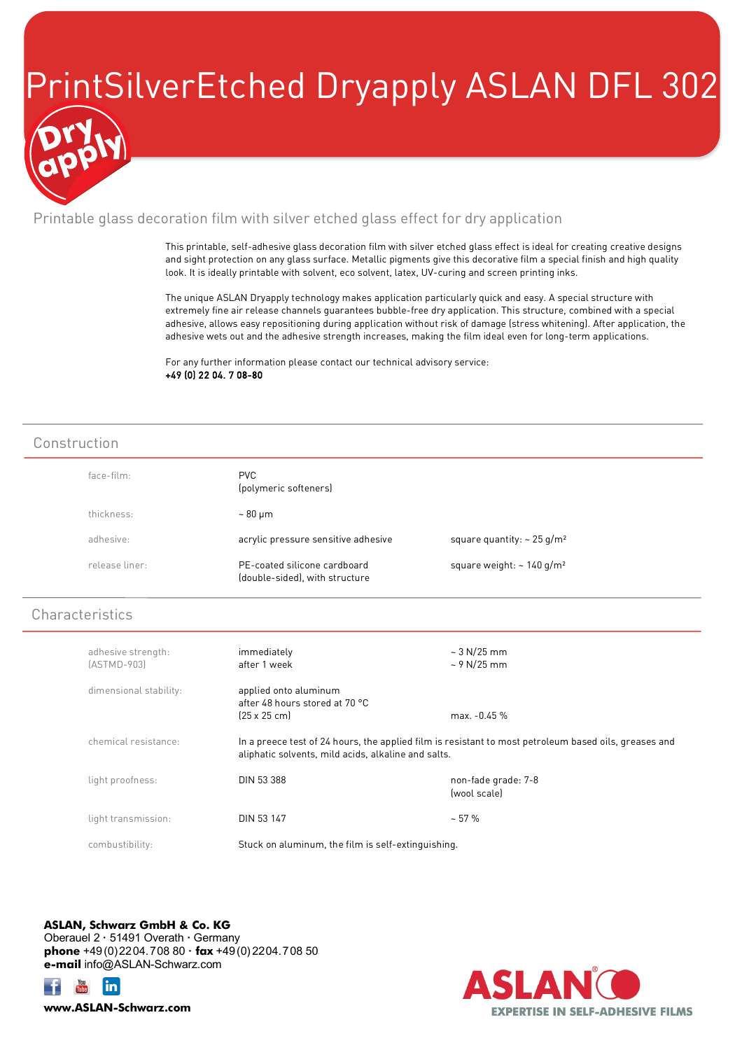## PrintSilverEtched Dryapply ASLAN DFL 302

### Printable glass decoration film with silver etched glass effect for dry application

This printable, self-adhesive glass decoration film with silver etched glass effect is ideal for creating creative designs and sight protection on any glass surface. Metallic pigments give this decorative film a special finish and high quality look. It is ideally printable with solvent, eco solvent, latex, UV-curing and screen printing inks.

The unique ASLAN Dryapply technology makes application particularly quick and easy. A special structure with extremely fine air release channels guarantees bubble-free dry application. This structure, combined with a special adhesive, allows easy repositioning during application without risk of damage (stress whitening). After application, the adhesive wets out and the adhesive strength increases, making the film ideal even for long-term applications.

For any further information please contact our technical advisory service: +49 (0) 22 04. 7 08-80

#### Construction

| face-film: |                | <b>PVC</b><br>(polymeric softeners)                            |                                             |
|------------|----------------|----------------------------------------------------------------|---------------------------------------------|
| thickness: |                | $\sim 80 \,\mathrm{\upmu m}$                                   |                                             |
| adhesive:  |                | acrylic pressure sensitive adhesive                            | square quantity: $\sim$ 25 g/m <sup>2</sup> |
|            | release liner: | PE-coated silicone cardboard<br>(double-sided), with structure | square weight: $\sim 140$ g/m <sup>2</sup>  |

### **Characteristics**

| adhesive strength:<br>$[ASTMD-903]$ | immediately<br>after 1 week                                                                                                                                  | $\sim$ 3 N/25 mm<br>$\sim$ 9 N/25 mm |
|-------------------------------------|--------------------------------------------------------------------------------------------------------------------------------------------------------------|--------------------------------------|
| dimensional stability:              | applied onto aluminum<br>after 48 hours stored at 70 °C<br>$[25 \times 25$ cm                                                                                | max. -0.45 %                         |
| chemical resistance:                | In a preece test of 24 hours, the applied film is resistant to most petroleum based oils, greases and<br>aliphatic solvents, mild acids, alkaline and salts. |                                      |
| light proofness:                    | <b>DIN 53 388</b>                                                                                                                                            | non-fade grade: 7-8<br>(wool scale)  |
| light transmission:                 | <b>DIN 53 147</b>                                                                                                                                            | $~1.57$ %                            |
| combustibility:                     | Stuck on aluminum, the film is self-extinguishing.                                                                                                           |                                      |

**ASLAN, Schwarz GmbH & Co. KG** Oberauel 2 **·** 51491 Overath **·** Germany **phone** +49(0)2204.708 80 **· fax** +49(0) 2204.708 50 **e-mail** info@ASLAN-Schwarz.com





**www.ASLAN-Schwarz.com**